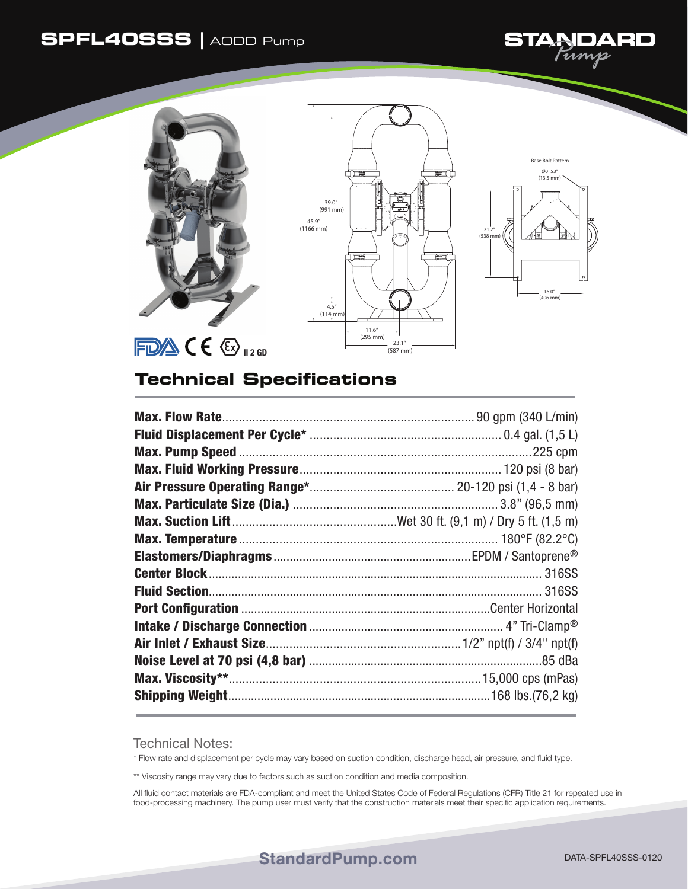## **SPFL40SSS |** AODD Pump





## **Technical Specifications**

Technical Notes:

\* Flow rate and displacement per cycle may vary based on suction condition, discharge head, air pressure, and fluid type.

\*\* Viscosity range may vary due to factors such as suction condition and media composition.

All fluid contact materials are FDA-compliant and meet the United States Code of Federal Regulations (CFR) Title 21 for repeated use in food-processing machinery. The pump user must verify that the construction materials meet their specific application requirements.